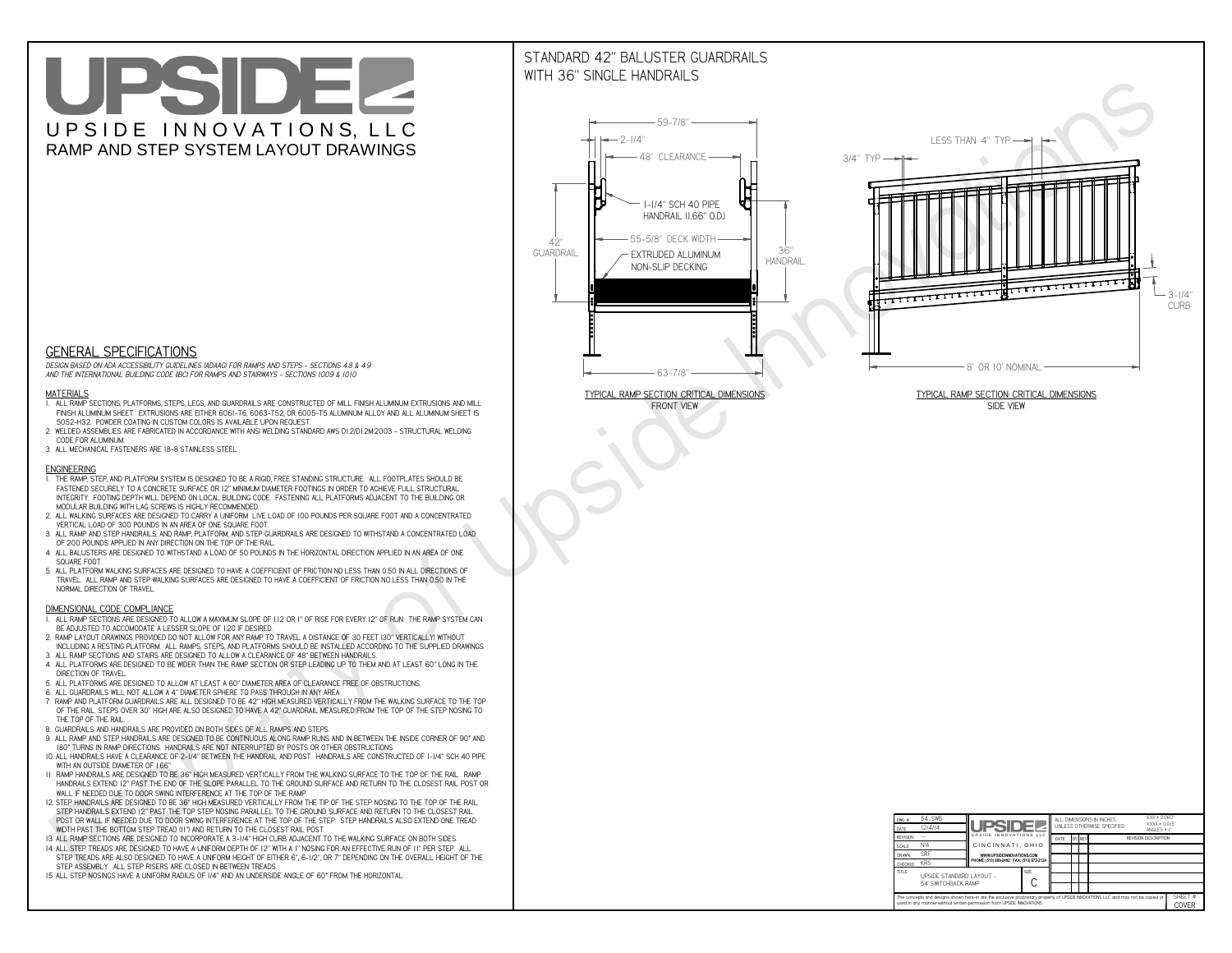# UPSIDEL UPSIDE INNOVATIONS, LLC RAMP AND STEP SYSTEM LAYOUT DRAWINGS

## STANDARD 42" BALUSTER GUARDRAILSWITH 36" SINGLE HANDRAILS

**FRONT VIEW**





**GENERAL SPECIFICATIONS**

 *DESIGN BASED ON ADA ACCESSIBILITY GUIDELINES (ADAAG) FOR RAMPS AND STEPS - SECTIONS 4.8 & 4.9AND THE INTERNATIONAL BUILDING CODE (IBC) FOR RAMPS AND STAIRWAYS - SECTIONS 1009 & 1010*

#### **MATERIALS**

- **1. ALL RAMP SECTIONS, PLATFORMS, STEPS, LEGS, AND GUARDRAILS ARE CONSTRUCTED OF MILL FINISH ALUMINUM EXTRUSIONS AND MILL FINISH ALUMINUM SHEET. EXTRUSIONS ARE EITHER 6061-T6, 6063-T52, OR 6005-T5 ALUMINUM ALLOY AND ALL ALUMINUM SHEET IS 5052-H32. POWDER COATING IN CUSTOM COLORS IS AVAILABLE UPON REQUEST.**
- **2. WELDED ASSEMBLIES ARE FABRICATED IN ACCORDANCE WITH ANSI WELDING STANDARD AWS D1.2/D1.2M:2003 STRUCTURAL WELDING CODE FOR ALUMINUM.**
- **3. ALL MECHANICAL FASTENERS ARE 18-8 STAINLESS STEEL.**

#### **ENGINEERING**

- **1. THE RAMP, STEP, AND PLATFORM SYSTEM IS DESIGNED TO BE A RIGID, FREE STANDING STRUCTURE. ALL FOOTPLATES SHOULD BE FASTENED SECURELY TO A CONCRETE SURFACE OR 12" MINIMUM DIAMETER FOOTINGS IN ORDER TO ACHIEVE FULL STRUCTURAL INTEGRITY. FOOTING DEPTH WILL DEPEND ON LOCAL BUILDING CODE. FASTENING ALL PLATFORMS ADJACENT TO THE BUILDING OR MODULAR BUILDING WITH LAG SCREWS IS HIGHLY RECOMMENDED.**
- **2. ALL WALKING SURFACES ARE DESIGNED TO CARRY A UNIFORM LIVE LOAD OF 100 POUNDS PER SQUARE FOOT AND A CONCENTRATED VERTICAL LOAD OF 300 POUNDS IN AN AREA OF ONE SQUARE FOOT.**
- **3. ALL RAMP AND STEP HANDRAILS, AND RAMP, PLATFORM, AND STEP GUARDRAILS ARE DESIGNED TO WITHSTAND A CONCENTRATED LOAD OF 200 POUNDS APPLIED IN ANY DIRECTION ON THE TOP OF THE RAIL.**
- **4. ALL BALUSTERS ARE DESIGNED TO WITHSTAND A LOAD OF 50 POUNDS IN THE HORIZONTAL DIRECTION APPLIED IN AN AREA OF ONE SQUARE FOOT.**
- **5. ALL PLATFORM WALKING SURFACES ARE DESIGNED TO HAVE A COEFFICIENT OF FRICTION NO LESS THAN 0.50 IN ALL DIRECTIONS OF TRAVEL. ALL RAMP AND STEP WALKING SURFACES ARE DESIGNED TO HAVE A COEFFICIENT OF FRICTION NO LESS THAN 0.50 IN THE NORMAL DIRECTION OF TRAVEL.**

| $DWG.$ #<br>DATE                                                                                                                                                                                            | 54_SWB<br>12/4/14                               | UPSIDEL                                   |             | ALL DIMENSIONS IN INCHES<br>UNI FSS OTHERWISE SPECIFIED |  |               |                             | $XXX = 0.060"$<br>$XXX \pm 0.015$ "<br>ANGLES $\pm$ 1° |                  |
|-------------------------------------------------------------------------------------------------------------------------------------------------------------------------------------------------------------|-------------------------------------------------|-------------------------------------------|-------------|---------------------------------------------------------|--|---------------|-----------------------------|--------------------------------------------------------|------------------|
| <b>REVISION</b>                                                                                                                                                                                             |                                                 | UPSIDE INNOVATIONS LLC                    |             | DATE                                                    |  | <b>BY REV</b> | <b>REVISION DESCRIPTION</b> |                                                        |                  |
| <b>SCALE</b>                                                                                                                                                                                                | N/A                                             | CINCINNATI, OHIO                          |             |                                                         |  |               |                             |                                                        |                  |
| <b>DRAWN</b>                                                                                                                                                                                                | <b>SRF</b>                                      | WWW.UPSIDEINNOVATIONS.COM                 |             |                                                         |  |               |                             |                                                        |                  |
| CHECKED                                                                                                                                                                                                     | <b>KRS</b>                                      | PHONE: (513) 889-2492 FAX: (513) 672-2124 |             |                                                         |  |               |                             |                                                        |                  |
| <b>TITLE</b>                                                                                                                                                                                                | UPSIDE STANDARD LAYOUT -<br>54' SWITCHBACK RAMP |                                           | <b>SIZE</b> |                                                         |  |               |                             |                                                        |                  |
| The concepts and designs shown here-in are the exclusive proprietary property of UPSIDE INNOVATIONS LLC. and may not be copied or<br>used in any manner without written permission from UPSIDE INNOVATIONS. |                                                 |                                           |             |                                                         |  |               |                             |                                                        | SHEET #<br>COVER |

### **DIMENSIONAL CODE COMPLIANCE**

- **1. ALL RAMP SECTIONS ARE DESIGNED TO ALLOW A MAXIMUM SLOPE OF 1:12 OR 1" OF RISE FOR EVERY 12" OF RUN. THE RAMP SYSTEM CAN BE ADJUSTED TO ACCOMODATE A LESSER SLOPE OF 1:20 IF DESIRED.**
- **2. RAMP LAYOUT DRAWINGS PROVIDED DO NOT ALLOW FOR ANY RAMP TO TRAVEL A DISTANCE OF 30 FEET (30" VERTICALLY) WITHOUT INCLUDING A RESTING PLATFORM. ALL RAMPS, STEPS, AND PLATFORMS SHOULD BE INSTALLED ACCORDING TO THE SUPPLIED DRAWINGS.**
- **3. ALL RAMP SECTIONS AND STAIRS ARE DESIGNED TO ALLOW A CLEARANCE OF 48" BETWEEN HANDRAILS.**
- **4. ALL PLATFORMS ARE DESIGNED TO BE WIDER THAN THE RAMP SECTION OR STEP LEADING UP TO THEM AND AT LEAST 60" LONG IN THE DIRECTION OF TRAVEL.**
- **5. ALL PLATFORMS ARE DESIGNED TO ALLOW AT LEAST A 60" DIAMETER AREA OF CLEARANCE FREE OF OBSTRUCTIONS.**
- **6. ALL GUARDRAILS WILL NOT ALLOW A 4" DIAMETER SPHERE TO PASS THROUGH IN ANY AREA.**
- **7. RAMP AND PLATFORM GUARDRAILS ARE ALL DESIGNED TO BE 42" HIGH MEASURED VERTICALLY FROM THE WALKING SURFACE TO THE TOP OF THE RAIL. STEPS OVER 30" HIGH ARE ALSO DESIGNED TO HAVE A 42" GUARDRAIL MEASURED FROM THE TOP OF THE STEP NOSING TO THE TOP OF THE RAIL.**
- **8. GUARDRAILS AND HANDRAILS ARE PROVIDED ON BOTH SIDES OF ALL RAMPS AND STEPS.**
- **9. ALL RAMP AND STEP HANDRAILS ARE DESIGNED TO BE CONTINUOUS ALONG RAMP RUNS AND IN BETWEEN THE INSIDE CORNER OF 90° AND 180° TURNS IN RAMP DIRECTIONS. HANDRAILS ARE NOT INTERRUPTED BY POSTS OR OTHER OBSTRUCTIONS.**
- **10. ALL HANDRAILS HAVE A CLEARANCE OF 2-1/4" BETWEEN THE HANDRAIL AND POST. HANDRAILS ARE CONSTRUCTED OF 1-1/4" SCH 40 PIPE WITH AN OUTSIDE DIAMETER OF 1.66"**
- **11. RAMP HANDRAILS ARE DESIGNED TO BE 36" HIGH MEASURED VERTICALLY FROM THE WALKING SURFACE TO THE TOP OF THE RAIL. RAMP HANDRAILS EXTEND 12" PAST THE END OF THE SLOPE PARALLEL TO THE GROUND SURFACE AND RETURN TO THE CLOSEST RAIL POST OR WALL IF NEEDED DUE TO DOOR SWING INTERFERENCE AT THE TOP OF THE RAMP.**
- **12. STEP HANDRAILS ARE DESIGNED TO BE 36" HIGH MEASURED VERTICALLY FROM THE TIP OF THE STEP NOSING TO THE TOP OF THE RAIL. STEP HANDRAILS EXTEND 12" PAST THE TOP STEP NOSING PARALLEL TO THE GROUND SURFACE AND RETURN TO THE CLOSEST RAIL POST OR WALL IF NEEDED DUE TO DOOR SWING INTERFERENCE AT THE TOP OF THE STEP. STEP HANDRAILS ALSO EXTEND ONE TREAD**
- **WIDTH PAST THE BOTTOM STEP TREAD (11") AND RETURN TO THE CLOSEST RAIL POST.**
- **13. ALL RAMP SECTIONS ARE DESIGNED TO INCORPORATE A 3-1/4" HIGH CURB ADJACENT TO THE WALKING SURFACE ON BOTH SIDES.**
- **14. ALL STEP TREADS ARE DESIGNED TO HAVE A UNIFORM DEPTH OF 12" WITH A 1" NOSING FOR AN EFFECTIVE RUN OF 11" PER STEP. ALL STEP TREADS ARE ALSO DESIGNED TO HAVE A UNIFORM HEIGHT OF EITHER 6", 6-1/2", OR 7" DEPENDING ON THE OVERALL HEIGHT OF THE STEP ASSEMBLY. ALL STEP RISERS ARE CLOSED IN BETWEEN TREADS.**
- **15. ALL STEP NOSINGS HAVE A UNIFORM RADIUS OF 1/4" AND AN UNDERSIDE ANGLE OF 60° FROM THE HORIZONTAL.**